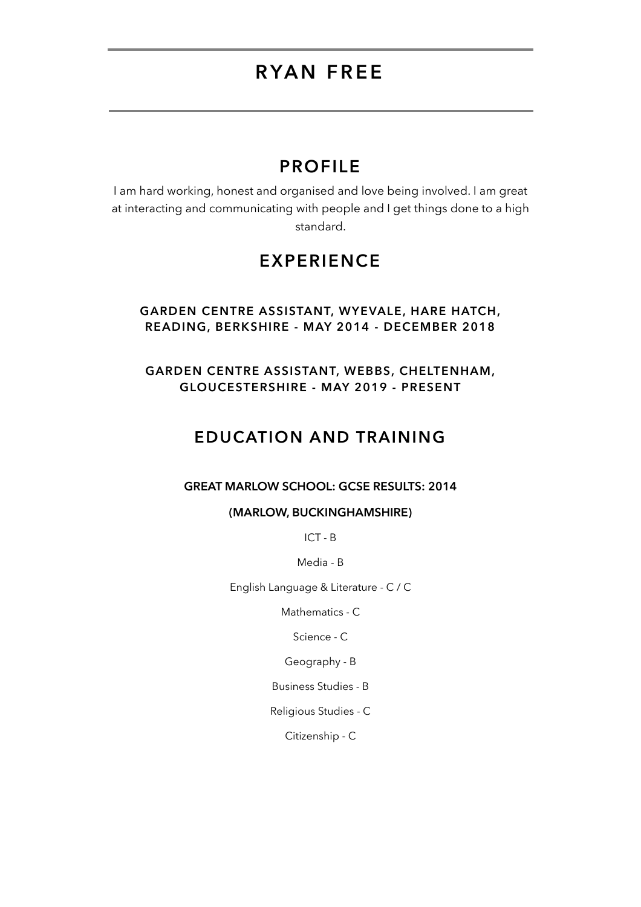# **RYAN FREE**

### **PROFILE**

I am hard working, honest and organised and love being involved. I am great at interacting and communicating with people and I get things done to a high standard.

## **EXPERIENCE**

#### **GARDEN CENTRE ASSISTANT, WYEVALE, HARE HATCH, READING, BERKSHIRE - MAY 2014 - DECEMBER 2018**

**GARDEN CENTRE ASSISTANT, WEBBS, CHELTENHAM, GLOUCESTERSHIRE - MAY 2019 - PRESENT**

### **EDUCATION AND TRAINING**

#### **GREAT MARLOW SCHOOL: GCSE RESULTS: 2014**

#### **(MARLOW, BUCKINGHAMSHIRE)**

ICT - B

Media - B

English Language & Literature - C / C

Mathematics - C

Science - C

Geography - B

Business Studies - B

Religious Studies - C

Citizenship - C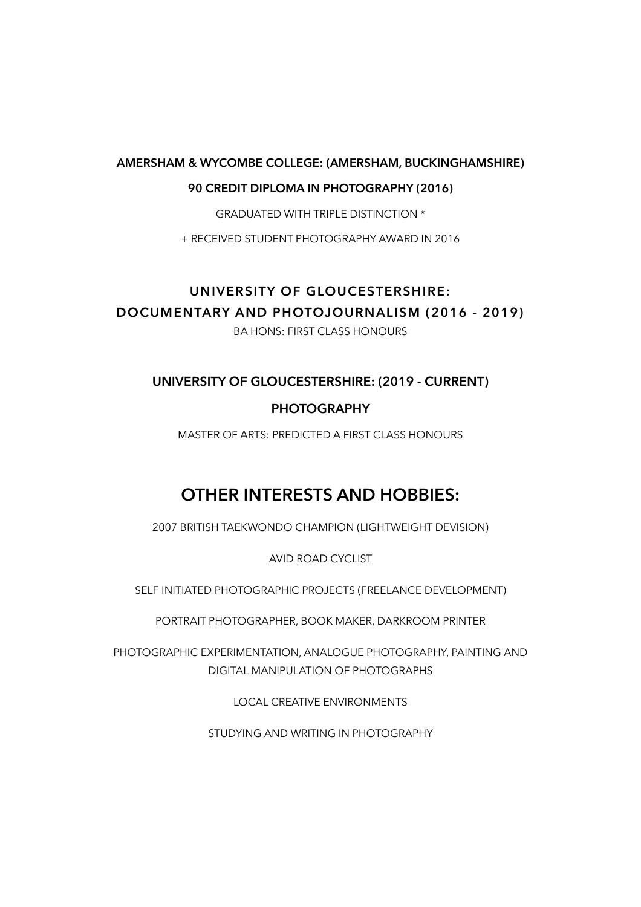#### **AMERSHAM & WYCOMBE COLLEGE: (AMERSHAM, BUCKINGHAMSHIRE)**

#### **90 CREDIT DIPLOMA IN PHOTOGRAPHY (2016)**

GRADUATED WITH TRIPLE DISTINCTION \*

+ RECEIVED STUDENT PHOTOGRAPHY AWARD IN 2016

### **UNIVERSITY OF GLOUCESTERSHIRE: DOCUMENTARY AND PHOTOJOURNALISM (2016 - 2019)**  BA HONS: FIRST CLASS HONOURS

### **UNIVERSITY OF GLOUCESTERSHIRE: (2019 - CURRENT)**

### **PHOTOGRAPHY**

MASTER OF ARTS: PREDICTED A FIRST CLASS HONOURS

## **OTHER INTERESTS AND HOBBIES:**

2007 BRITISH TAEKWONDO CHAMPION (LIGHTWEIGHT DEVISION)

AVID ROAD CYCLIST

SELF INITIATED PHOTOGRAPHIC PROJECTS (FREELANCE DEVELOPMENT)

PORTRAIT PHOTOGRAPHER, BOOK MAKER, DARKROOM PRINTER

PHOTOGRAPHIC EXPERIMENTATION, ANALOGUE PHOTOGRAPHY, PAINTING AND DIGITAL MANIPULATION OF PHOTOGRAPHS

LOCAL CREATIVE ENVIRONMENTS

STUDYING AND WRITING IN PHOTOGRAPHY